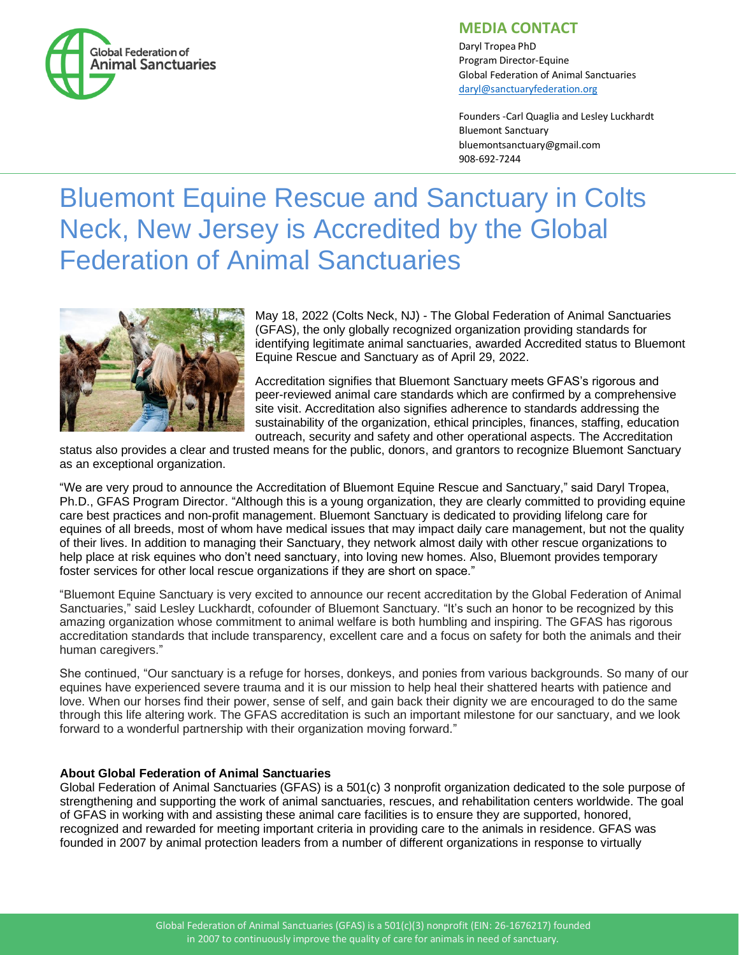

## **MEDIA CONTACT**

Daryl Tropea PhD Program Director-Equine Global Federation of Animal Sanctuaries [daryl@sanctuaryfederation.org](mailto:daryl@sanctuaryfederation.org)

Founders -Carl Quaglia and Lesley Luckhardt Bluemont Sanctuary bluemontsanctuary@gmail.com 908-692-7244

## Bluemont Equine Rescue and Sanctuary in Colts Neck, New Jersey is Accredited by the Global Federation of Animal Sanctuaries



May 18, 2022 (Colts Neck, NJ) - The Global Federation of Animal Sanctuaries (GFAS), the only globally recognized organization providing standards for identifying legitimate animal sanctuaries, awarded Accredited status to Bluemont Equine Rescue and Sanctuary as of April 29, 2022.

Accreditation signifies that Bluemont Sanctuary meets GFAS's rigorous and peer-reviewed animal care standards which are confirmed by a comprehensive site visit. Accreditation also signifies adherence to standards addressing the sustainability of the organization, ethical principles, finances, staffing, education outreach, security and safety and other operational aspects. The Accreditation

status also provides a clear and trusted means for the public, donors, and grantors to recognize Bluemont Sanctuary as an exceptional organization.

"We are very proud to announce the Accreditation of Bluemont Equine Rescue and Sanctuary," said Daryl Tropea, Ph.D., GFAS Program Director. "Although this is a young organization, they are clearly committed to providing equine care best practices and non-profit management. Bluemont Sanctuary is dedicated to providing lifelong care for equines of all breeds, most of whom have medical issues that may impact daily care management, but not the quality of their lives. In addition to managing their Sanctuary, they network almost daily with other rescue organizations to help place at risk equines who don't need sanctuary, into loving new homes. Also, Bluemont provides temporary foster services for other local rescue organizations if they are short on space."

"Bluemont Equine Sanctuary is very excited to announce our recent accreditation by the Global Federation of Animal Sanctuaries," said Lesley Luckhardt, cofounder of Bluemont Sanctuary. "It's such an honor to be recognized by this amazing organization whose commitment to animal welfare is both humbling and inspiring. The GFAS has rigorous accreditation standards that include transparency, excellent care and a focus on safety for both the animals and their human caregivers."

She continued, "Our sanctuary is a refuge for horses, donkeys, and ponies from various backgrounds. So many of our equines have experienced severe trauma and it is our mission to help heal their shattered hearts with patience and love. When our horses find their power, sense of self, and gain back their dignity we are encouraged to do the same through this life altering work. The GFAS accreditation is such an important milestone for our sanctuary, and we look forward to a wonderful partnership with their organization moving forward."

## **About Global Federation of Animal Sanctuaries**

Global Federation of Animal Sanctuaries (GFAS) is a 501(c) 3 nonprofit organization dedicated to the sole purpose of strengthening and supporting the work of animal sanctuaries, rescues, and rehabilitation centers worldwide. The goal of GFAS in working with and assisting these animal care facilities is to ensure they are supported, honored, recognized and rewarded for meeting important criteria in providing care to the animals in residence. GFAS was founded in 2007 by animal protection leaders from a number of different organizations in response to virtually